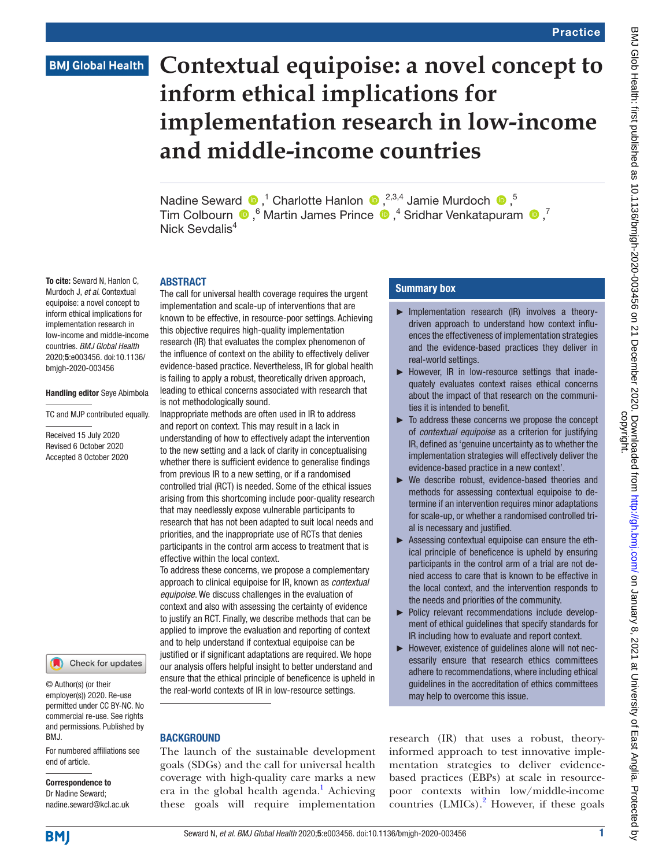# **BMJ Global Health**

# **Contextual equipoise: a novel concept to inform ethical implications for implementation research in low-income and middle-income countries**

Nadine Seward  $\bullet$ ,<sup>1</sup> Charlotte Hanlon  $\bullet$ ,<sup>2,3,4</sup> Jamie Murdoch  $\bullet$ ,<sup>5</sup> TimColbourn  $\bullet$ , <sup>6</sup> Martin James Prince  $\bullet$ , <sup>4</sup> Sridhar Venkatapuram  $\bullet$ , <sup>7</sup> Nick Sevdalis<sup>4</sup>

#### ABSTRACT

The call for universal health coverage requires the urgent implementation and scale-up of interventions that are known to be effective, in resource-poor settings. Achieving this objective requires high-quality implementation research (IR) that evaluates the complex phenomenon of the influence of context on the ability to effectively deliver evidence-based practice. Nevertheless, IR for global health is failing to apply a robust, theoretically driven approach, leading to ethical concerns associated with research that is not methodologically sound.

Inappropriate methods are often used in IR to address and report on context. This may result in a lack in understanding of how to effectively adapt the intervention to the new setting and a lack of clarity in conceptualising whether there is sufficient evidence to generalise findings from previous IR to a new setting, or if a randomised controlled trial (RCT) is needed. Some of the ethical issues arising from this shortcoming include poor-quality research that may needlessly expose vulnerable participants to research that has not been adapted to suit local needs and priorities, and the inappropriate use of RCTs that denies participants in the control arm access to treatment that is effective within the local context.

To address these concerns, we propose a complementary approach to clinical equipoise for IR, known as *contextual equipoise*. We discuss challenges in the evaluation of context and also with assessing the certainty of evidence to justify an RCT. Finally, we describe methods that can be applied to improve the evaluation and reporting of context and to help understand if contextual equipoise can be justified or if significant adaptations are required. We hope our analysis offers helpful insight to better understand and ensure that the ethical principle of beneficence is upheld in the real-world contexts of IR in low-resource settings.

#### **BACKGROUND**

The launch of the sustainable development goals (SDGs) and the call for universal health coverage with high-quality care marks a new era in the global health agenda.<sup>[1](#page-7-0)</sup> Achieving these goals will require implementation

#### Summary box

- ► Implementation research (IR) involves a theorydriven approach to understand how context influences the effectiveness of implementation strategies and the evidence-based practices they deliver in real-world settings.
- ► However, IR in low-resource settings that inadequately evaluates context raises ethical concerns about the impact of that research on the communities it is intended to benefit.
- ► To address these concerns we propose the concept of *contextual equipoise* as a criterion for justifying IR, defined as 'genuine uncertainty as to whether the implementation strategies will effectively deliver the evidence-based practice in a new context'.
- ► We describe robust, evidence-based theories and methods for assessing contextual equipoise to determine if an intervention requires minor adaptations for scale-up, or whether a randomised controlled trial is necessary and justified.
- ► Assessing contextual equipoise can ensure the ethical principle of beneficence is upheld by ensuring participants in the control arm of a trial are not denied access to care that is known to be effective in the local context, and the intervention responds to the needs and priorities of the community.
- ► Policy relevant recommendations include development of ethical guidelines that specify standards for IR including how to evaluate and report context.
- ► However, existence of guidelines alone will not necessarily ensure that research ethics committees adhere to recommendations, where including ethical guidelines in the accreditation of ethics committees may help to overcome this issue.

research (IR) that uses a robust, theoryinformed approach to test innovative implementation strategies to deliver evidencebased practices (EBPs) at scale in resourcepoor contexts within low/middle-income countries (LMICs).<sup>2</sup> However, if these goals

Murdoch J, *et al*. Contextual equipoise: a novel concept to inform ethical implications for implementation research in low-income and middle-income countries. *BMJ Global Health* 2020;5:e003456. doi:10.1136/ bmjgh-2020-003456

To cite: Seward N, Hanlon C,

#### Handling editor Seye Abimbola

TC and MJP contributed equally.

Received 15 July 2020 Revised 6 October 2020 Accepted 8 October 2020



© Author(s) (or their employer(s)) 2020. Re-use permitted under CC BY-NC. No commercial re-use. See rights and permissions. Published by BMJ.

For numbered affiliations see end of article.

#### Correspondence to Dr Nadine Seward; nadine.seward@kcl.ac.uk

**BMJ**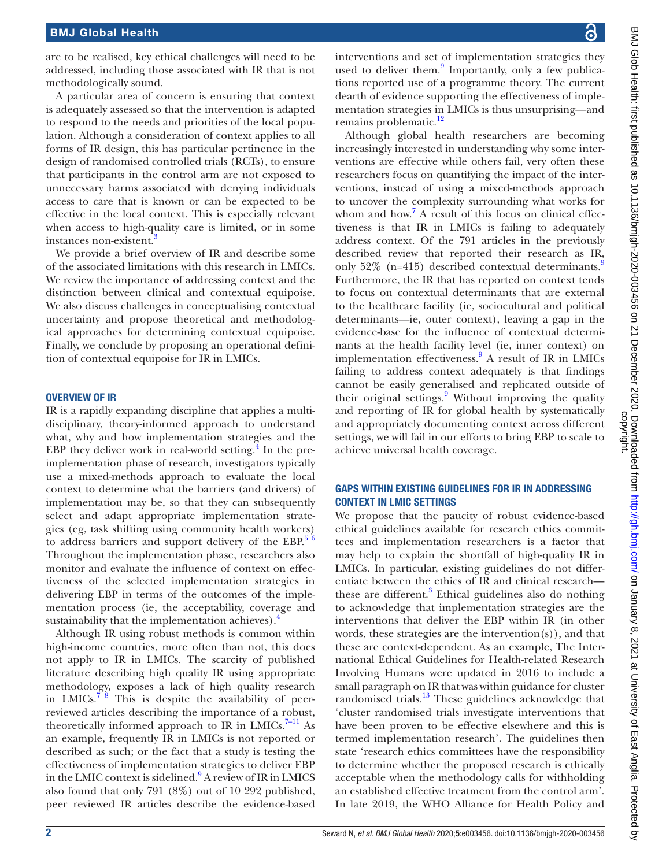are to be realised, key ethical challenges will need to be addressed, including those associated with IR that is not methodologically sound.

A particular area of concern is ensuring that context is adequately assessed so that the intervention is adapted to respond to the needs and priorities of the local population. Although a consideration of context applies to all forms of IR design, this has particular pertinence in the design of randomised controlled trials (RCTs), to ensure that participants in the control arm are not exposed to unnecessary harms associated with denying individuals access to care that is known or can be expected to be effective in the local context. This is especially relevant when access to high-quality care is limited, or in some instances non-existent.<sup>[3](#page-7-2)</sup>

We provide a brief overview of IR and describe some of the associated limitations with this research in LMICs. We review the importance of addressing context and the distinction between clinical and contextual equipoise. We also discuss challenges in conceptualising contextual uncertainty and propose theoretical and methodological approaches for determining contextual equipoise. Finally, we conclude by proposing an operational definition of contextual equipoise for IR in LMICs.

#### OVERVIEW OF IR

IR is a rapidly expanding discipline that applies a multidisciplinary, theory-informed approach to understand what, why and how implementation strategies and the EBP they deliver work in real-world setting. $\frac{4}{3}$  $\frac{4}{3}$  $\frac{4}{3}$  In the preimplementation phase of research, investigators typically use a mixed-methods approach to evaluate the local context to determine what the barriers (and drivers) of implementation may be, so that they can subsequently select and adapt appropriate implementation strategies (eg, task shifting using community health workers) to address barriers and support delivery of the EBP. $56$ Throughout the implementation phase, researchers also monitor and evaluate the influence of context on effectiveness of the selected implementation strategies in delivering EBP in terms of the outcomes of the implementation process (ie, the acceptability, coverage and sustainability that the implementation achieves). $<sup>4</sup>$  $<sup>4</sup>$  $<sup>4</sup>$ </sup>

Although IR using robust methods is common within high-income countries, more often than not, this does not apply to IR in LMICs. The scarcity of published literature describing high quality IR using appropriate methodology, exposes a lack of high quality research in LMICs.<sup> $78$ </sup> This is despite the availability of peerreviewed articles describing the importance of a robust, theoretically informed approach to IR in LMICs. $7-11$  As an example, frequently IR in LMICs is not reported or described as such; or the fact that a study is testing the effectiveness of implementation strategies to deliver EBP in the LMIC context is sidelined.<sup>9</sup> A review of IR in LMICS also found that only 791 (8%) out of 10 292 published, peer reviewed IR articles describe the evidence-based

interventions and set of implementation strategies they used to deliver them.<sup>9</sup> Importantly, only a few publications reported use of a programme theory. The current dearth of evidence supporting the effectiveness of implementation strategies in LMICs is thus unsurprising—and remains problematic.<sup>[12](#page-7-7)</sup>

Although global health researchers are becoming increasingly interested in understanding why some interventions are effective while others fail, very often these researchers focus on quantifying the impact of the interventions, instead of using a mixed-methods approach to uncover the complexity surrounding what works for whom and how.<sup>[7](#page-7-5)</sup> A result of this focus on clinical effectiveness is that IR in LMICs is failing to adequately address context. Of the 791 articles in the previously described review that reported their research as IR, only  $52\%$  (n=415) described contextual determinants. Furthermore, the IR that has reported on context tends to focus on contextual determinants that are external to the healthcare facility (ie, sociocultural and political determinants—ie, outer context), leaving a gap in the evidence-base for the influence of contextual determinants at the health facility level (ie, inner context) on implementation effectiveness.<sup>[9](#page-7-6)</sup> A result of IR in LMICs failing to address context adequately is that findings cannot be easily generalised and replicated outside of their original settings.<sup>[9](#page-7-6)</sup> Without improving the quality and reporting of IR for global health by systematically and appropriately documenting context across different settings, we will fail in our efforts to bring EBP to scale to achieve universal health coverage.

#### GAPS WITHIN EXISTING GUIDELINES FOR IR IN ADDRESSING CONTEXT IN LMIC SETTINGS

We propose that the paucity of robust evidence-based ethical guidelines available for research ethics committees and implementation researchers is a factor that may help to explain the shortfall of high-quality IR in LMICs. In particular, existing guidelines do not differentiate between the ethics of IR and clinical research these are different.<sup>3</sup> Ethical guidelines also do nothing to acknowledge that implementation strategies are the interventions that deliver the EBP within IR (in other words, these strategies are the intervention(s)), and that these are context-dependent. As an example, The International Ethical Guidelines for Health-related Research Involving Humans were updated in 2016 to include a small paragraph on IR that was within guidance for cluster randomised trials.[13](#page-7-8) These guidelines acknowledge that 'cluster randomised trials investigate interventions that have been proven to be effective elsewhere and this is termed implementation research'. The guidelines then state 'research ethics committees have the responsibility to determine whether the proposed research is ethically acceptable when the methodology calls for withholding an established effective treatment from the control arm'. In late 2019, the WHO Alliance for Health Policy and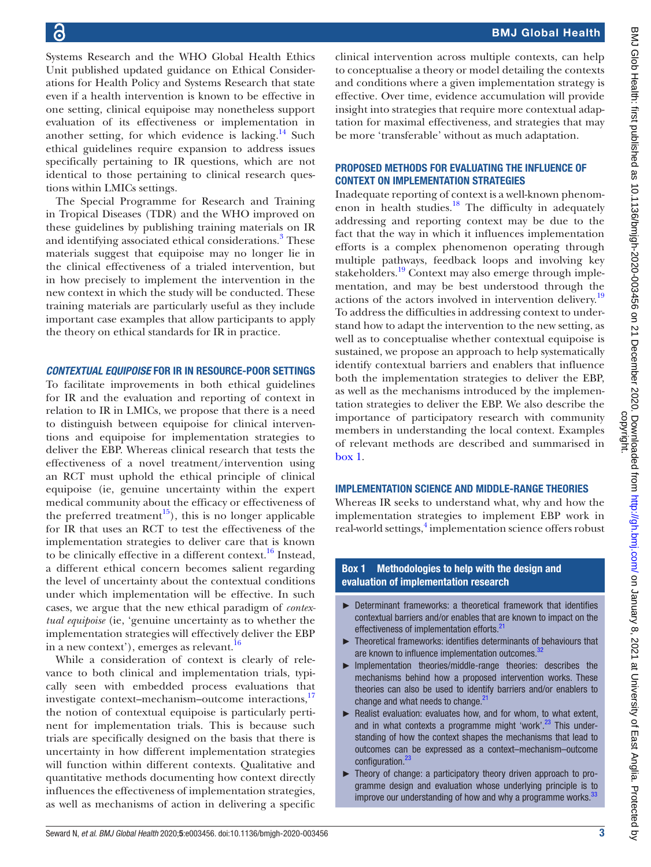Systems Research and the WHO Global Health Ethics Unit published updated guidance on Ethical Considerations for Health Policy and Systems Research that state even if a health intervention is known to be effective in one setting, clinical equipoise may nonetheless support evaluation of its effectiveness or implementation in another setting, for which evidence is lacking.<sup>14</sup> Such ethical guidelines require expansion to address issues specifically pertaining to IR questions, which are not identical to those pertaining to clinical research questions within LMICs settings.

The Special Programme for Research and Training in Tropical Diseases (TDR) and the WHO improved on these guidelines by publishing training materials on IR and identifying associated ethical considerations.<sup>[3](#page-7-2)</sup> These materials suggest that equipoise may no longer lie in the clinical effectiveness of a trialed intervention, but in how precisely to implement the intervention in the new context in which the study will be conducted. These training materials are particularly useful as they include important case examples that allow participants to apply the theory on ethical standards for IR in practice.

#### *CONTEXTUAL EQUIPOISE* FOR IR IN RESOURCE-POOR SETTINGS

To facilitate improvements in both ethical guidelines for IR and the evaluation and reporting of context in relation to IR in LMICs, we propose that there is a need to distinguish between equipoise for clinical interventions and equipoise for implementation strategies to deliver the EBP. Whereas clinical research that tests the effectiveness of a novel treatment/intervention using an RCT must uphold the ethical principle of clinical equipoise (ie, genuine uncertainty within the expert medical community about the efficacy or effectiveness of the preferred treatment<sup>[15](#page-7-10)</sup>), this is no longer applicable for IR that uses an RCT to test the effectiveness of the implementation strategies to deliver care that is known to be clinically effective in a different context.<sup>16</sup> Instead, a different ethical concern becomes salient regarding the level of uncertainty about the contextual conditions under which implementation will be effective. In such cases, we argue that the new ethical paradigm of *contextual equipoise* (ie, 'genuine uncertainty as to whether the implementation strategies will effectively deliver the EBP in a new context'), emerges as relevant.<sup>[16](#page-7-11)</sup>

While a consideration of context is clearly of relevance to both clinical and implementation trials, typically seen with embedded process evaluations that investigate context–mechanism–outcome interactions,<sup>17</sup> the notion of contextual equipoise is particularly pertinent for implementation trials. This is because such trials are specifically designed on the basis that there is uncertainty in how different implementation strategies will function within different contexts. Qualitative and quantitative methods documenting how context directly influences the effectiveness of implementation strategies, as well as mechanisms of action in delivering a specific

BMJ Glob Health: first published as 10.1136/bmjgh-2020-003456 on 21 December 2020. Downloaded from http://gh.bmj.com/ on January 8, 2021 at University of East Anglia. Protected by<br>copyright. BMJ Glob Health: first published as 10.1136/bmjgh-2020-003456 on 21 December 2020. Downloaded from Domnloaded from on January 8, 2021 at University of East Anglia. Protected by

clinical intervention across multiple contexts, can help to conceptualise a theory or model detailing the contexts and conditions where a given implementation strategy is effective. Over time, evidence accumulation will provide insight into strategies that require more contextual adaptation for maximal effectiveness, and strategies that may be more 'transferable' without as much adaptation.

#### PROPOSED METHODS FOR EVALUATING THE INFLUENCE OF CONTEXT ON IMPLEMENTATION STRATEGIES

Inadequate reporting of context is a well-known phenomenon in health studies. $18$  The difficulty in adequately addressing and reporting context may be due to the fact that the way in which it influences implementation efforts is a complex phenomenon operating through multiple pathways, feedback loops and involving key stakeholders.<sup>19</sup> Context may also emerge through implementation, and may be best understood through the actions of the actors involved in intervention delivery.<sup>[19](#page-7-14)</sup> To address the difficulties in addressing context to understand how to adapt the intervention to the new setting, as well as to conceptualise whether contextual equipoise is sustained, we propose an approach to help systematically identify contextual barriers and enablers that influence both the implementation strategies to deliver the EBP, as well as the mechanisms introduced by the implementation strategies to deliver the EBP. We also describe the importance of participatory research with community members in understanding the local context. Examples of relevant methods are described and summarised in [box](#page-2-0) 1.

#### IMPLEMENTATION SCIENCE AND MIDDLE-RANGE THEORIES

Whereas IR seeks to understand what, why and how the implementation strategies to implement EBP work in real-world settings,<sup>[4](#page-7-3)</sup> implementation science offers robust

#### Box 1 Methodologies to help with the design and evaluation of implementation research

- <span id="page-2-0"></span>► Determinant frameworks: a theoretical framework that identifies contextual barriers and/or enables that are known to impact on the effectiveness of implementation efforts.<sup>[21](#page-7-15)</sup>
- ► Theoretical frameworks: identifies determinants of behaviours that are known to influence implementation outcomes.<sup>37</sup>
- ► Implementation theories/middle-range theories: describes the mechanisms behind how a proposed intervention works. These theories can also be used to identify barriers and/or enablers to change and what needs to change. $21$
- ► Realist evaluation: evaluates how, and for whom, to what extent, and in what contexts a programme might 'work'.<sup>23</sup> This understanding of how the context shapes the mechanisms that lead to outcomes can be expressed as a context–mechanism–outcome configuration.[23](#page-7-16)
- ► Theory of change: a participatory theory driven approach to programme design and evaluation whose underlying principle is to improve our understanding of how and why a programme works. $33$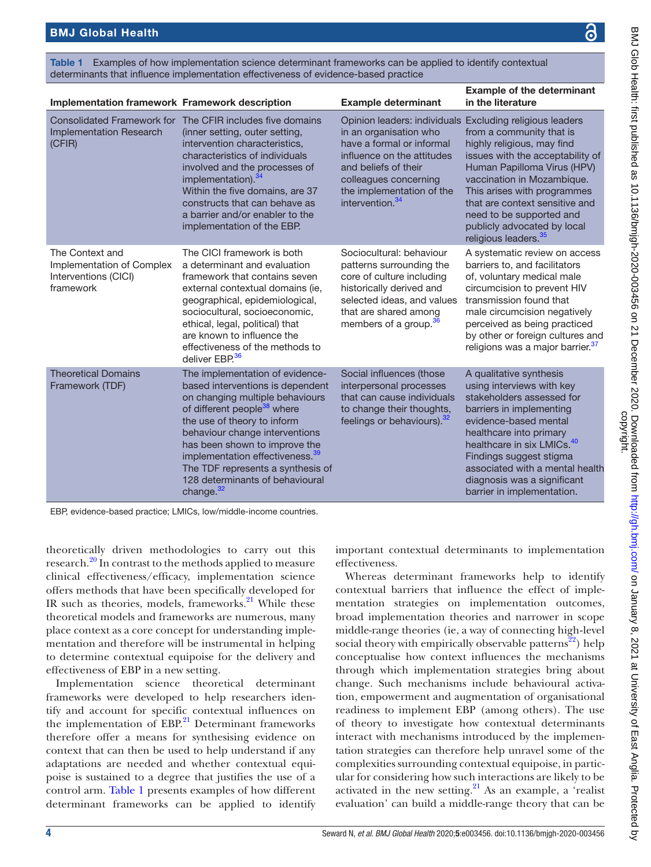<span id="page-3-0"></span>

| Examples of how implementation science determinant frameworks can be applied to identify contextual<br>Table 1<br>determinants that influence implementation effectiveness of evidence-based practice |                                                                                                                                                                                                                                                                                                                                                                                            |                                                                                                                                                                                                                                                            |                                                                                                                                                                                                                                                                                                                                        |  |
|-------------------------------------------------------------------------------------------------------------------------------------------------------------------------------------------------------|--------------------------------------------------------------------------------------------------------------------------------------------------------------------------------------------------------------------------------------------------------------------------------------------------------------------------------------------------------------------------------------------|------------------------------------------------------------------------------------------------------------------------------------------------------------------------------------------------------------------------------------------------------------|----------------------------------------------------------------------------------------------------------------------------------------------------------------------------------------------------------------------------------------------------------------------------------------------------------------------------------------|--|
| Implementation framework Framework description                                                                                                                                                        |                                                                                                                                                                                                                                                                                                                                                                                            | <b>Example determinant</b>                                                                                                                                                                                                                                 | <b>Example of the determinant</b><br>in the literature                                                                                                                                                                                                                                                                                 |  |
| <b>Implementation Research</b><br>(CFIR)                                                                                                                                                              | Consolidated Framework for The CFIR includes five domains<br>(inner setting, outer setting,<br>intervention characteristics,<br>characteristics of individuals<br>involved and the processes of<br>implementation). <sup>34</sup><br>Within the five domains, are 37<br>constructs that can behave as<br>a barrier and/or enabler to the<br>implementation of the EBP.                     | Opinion leaders: individuals Excluding religious leaders<br>in an organisation who<br>have a formal or informal<br>influence on the attitudes<br>and beliefs of their<br>colleagues concerning<br>the implementation of the<br>intervention. <sup>34</sup> | from a community that is<br>highly religious, may find<br>issues with the acceptability of<br>Human Papilloma Virus (HPV)<br>vaccination in Mozambique.<br>This arises with programmes<br>that are context sensitive and<br>need to be supported and<br>publicly advocated by local<br>religious leaders. <sup>35</sup>                |  |
| The Context and<br>Implementation of Complex<br>Interventions (CICI)<br>framework                                                                                                                     | The CICI framework is both<br>a determinant and evaluation<br>framework that contains seven<br>external contextual domains (ie.<br>geographical, epidemiological,<br>sociocultural, socioeconomic,<br>ethical, legal, political) that<br>are known to influence the<br>effectiveness of the methods to<br>deliver EBP. <sup>36</sup>                                                       | Sociocultural: behaviour<br>patterns surrounding the<br>core of culture including<br>historically derived and<br>selected ideas, and values<br>that are shared among<br>members of a group. <sup>36</sup>                                                  | A systematic review on access<br>barriers to, and facilitators<br>of, voluntary medical male<br>circumcision to prevent HIV<br>transmission found that<br>male circumcision negatively<br>perceived as being practiced<br>by other or foreign cultures and<br>religions was a major barrier. <sup>37</sup>                             |  |
| <b>Theoretical Domains</b><br>Framework (TDF)                                                                                                                                                         | The implementation of evidence-<br>based interventions is dependent<br>on changing multiple behaviours<br>of different people <sup>38</sup> where<br>the use of theory to inform<br>behaviour change interventions<br>has been shown to improve the<br>implementation effectiveness. <sup>39</sup><br>The TDF represents a synthesis of<br>128 determinants of behavioural<br>change. $32$ | Social influences (those<br>interpersonal processes<br>that can cause individuals<br>to change their thoughts,<br>feelings or behaviours). <sup>32</sup>                                                                                                   | A qualitative synthesis<br>using interviews with key<br>stakeholders assessed for<br>barriers in implementing<br>evidence-based mental<br>healthcare into primary<br>healthcare in six LMICs. <sup>40</sup><br>Findings suggest stigma<br>associated with a mental health<br>diagnosis was a significant<br>barrier in implementation. |  |

EBP, evidence-based practice; LMICs, low/middle-income countries.

theoretically driven methodologies to carry out this research.[20](#page-7-17) In contrast to the methods applied to measure clinical effectiveness/efficacy, implementation science offers methods that have been specifically developed for IR such as theories, models, frameworks. $21$  While these theoretical models and frameworks are numerous, many place context as a core concept for understanding implementation and therefore will be instrumental in helping to determine contextual equipoise for the delivery and effectiveness of EBP in a new setting.

Implementation science theoretical determinant frameworks were developed to help researchers identify and account for specific contextual influences on the implementation of  $EBP<sup>21</sup>$  $EBP<sup>21</sup>$  $EBP<sup>21</sup>$  Determinant frameworks therefore offer a means for synthesising evidence on context that can then be used to help understand if any adaptations are needed and whether contextual equipoise is sustained to a degree that justifies the use of a control arm. [Table](#page-3-0) 1 presents examples of how different determinant frameworks can be applied to identify

important contextual determinants to implementation effectiveness.

Whereas determinant frameworks help to identify contextual barriers that influence the effect of implementation strategies on implementation outcomes, broad implementation theories and narrower in scope middle-range theories (ie, a way of connecting high‐level social theory with empirically observable patterns<sup>22</sup>) help conceptualise how context influences the mechanisms through which implementation strategies bring about change. Such mechanisms include behavioural activation, empowerment and augmentation of organisational readiness to implement EBP (among others). The use of theory to investigate how contextual determinants interact with mechanisms introduced by the implementation strategies can therefore help unravel some of the complexities surrounding contextual equipoise, in particular for considering how such interactions are likely to be activated in the new setting. $21$  As an example, a 'realist evaluation' can build a middle-range theory that can be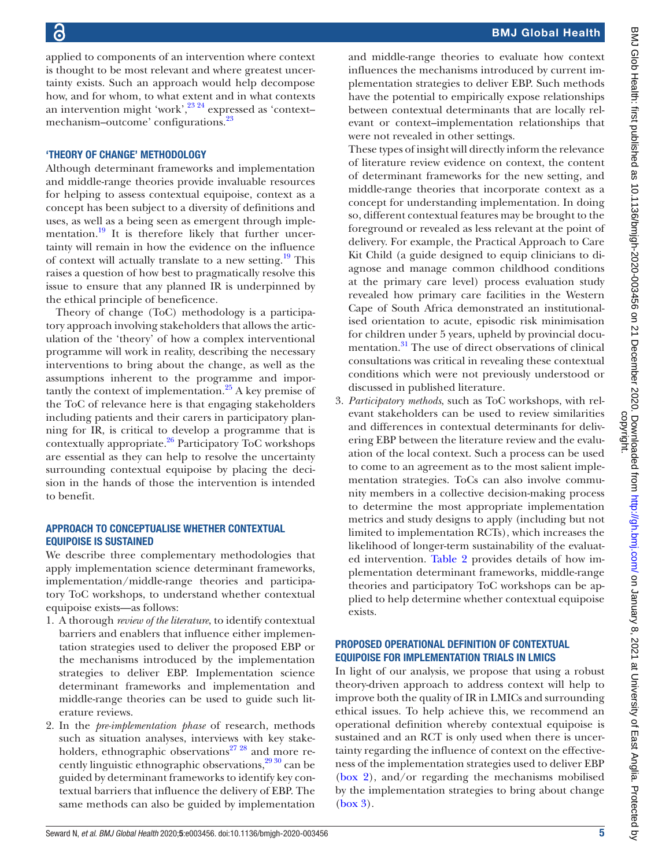applied to components of an intervention where context is thought to be most relevant and where greatest uncertainty exists. Such an approach would help decompose how, and for whom, to what extent and in what contexts an intervention might 'work',<sup>[23 24](#page-7-16)</sup> expressed as 'contextmechanism–outcome' configurations.[23](#page-7-16)

#### 'THEORY OF CHANGE' METHODOLOGY

Although determinant frameworks and implementation and middle-range theories provide invaluable resources for helping to assess contextual equipoise, context as a concept has been subject to a diversity of definitions and uses, as well as a being seen as emergent through implementation.<sup>19</sup> It is therefore likely that further uncertainty will remain in how the evidence on the influence of context will actually translate to a new setting.<sup>19</sup> This raises a question of how best to pragmatically resolve this issue to ensure that any planned IR is underpinned by the ethical principle of beneficence.

Theory of change (ToC) methodology is a participatory approach involving stakeholders that allows the articulation of the 'theory' of how a complex interventional programme will work in reality, describing the necessary interventions to bring about the change, as well as the assumptions inherent to the programme and importantly the context of implementation.<sup>25</sup> A key premise of the ToC of relevance here is that engaging stakeholders including patients and their carers in participatory planning for IR, is critical to develop a programme that is contextually appropriate[.26](#page-7-20) Participatory ToC workshops are essential as they can help to resolve the uncertainty surrounding contextual equipoise by placing the decision in the hands of those the intervention is intended to benefit.

#### APPROACH TO CONCEPTUALISE WHETHER CONTEXTUAL EQUIPOISE IS SUSTAINED

We describe three complementary methodologies that apply implementation science determinant frameworks, implementation/middle-range theories and participatory ToC workshops, to understand whether contextual equipoise exists—as follows:

- 1. A thorough *review of the literature*, to identify contextual barriers and enablers that influence either implementation strategies used to deliver the proposed EBP or the mechanisms introduced by the implementation strategies to deliver EBP. Implementation science determinant frameworks and implementation and middle-range theories can be used to guide such literature reviews.
- 2. In the *pre-implementation phase* of research, methods such as situation analyses, interviews with key stakeholders, ethnographic observations<sup>27</sup> <sup>28</sup> and more recently linguistic ethnographic observations,<sup>29 30</sup> can be guided by determinant frameworks to identify key contextual barriers that influence the delivery of EBP. The same methods can also be guided by implementation

and middle-range theories to evaluate how context influences the mechanisms introduced by current implementation strategies to deliver EBP. Such methods have the potential to empirically expose relationships between contextual determinants that are locally relevant or context–implementation relationships that were not revealed in other settings.

These types of insight will directly inform the relevance of literature review evidence on context, the content of determinant frameworks for the new setting, and middle-range theories that incorporate context as a concept for understanding implementation. In doing so, different contextual features may be brought to the foreground or revealed as less relevant at the point of delivery. For example, the Practical Approach to Care Kit Child (a guide designed to equip clinicians to diagnose and manage common childhood conditions at the primary care level) process evaluation study revealed how primary care facilities in the Western Cape of South Africa demonstrated an institutionalised orientation to acute, episodic risk minimisation for children under 5 years, upheld by provincial documentation.<sup>31</sup> The use of direct observations of clinical consultations was critical in revealing these contextual conditions which were not previously understood or discussed in published literature.

3. *Participatory methods*, such as ToC workshops, with relevant stakeholders can be used to review similarities and differences in contextual determinants for delivering EBP between the literature review and the evaluation of the local context. Such a process can be used to come to an agreement as to the most salient implementation strategies. ToCs can also involve community members in a collective decision-making process to determine the most appropriate implementation metrics and study designs to apply (including but not limited to implementation RCTs), which increases the likelihood of longer-term sustainability of the evaluated intervention. [Table](#page-5-0) 2 provides details of how implementation determinant frameworks, middle-range theories and participatory ToC workshops can be applied to help determine whether contextual equipoise exists.

#### PROPOSED OPERATIONAL DEFINITION OF CONTEXTUAL EQUIPOISE FOR IMPLEMENTATION TRIALS IN LMICS

In light of our analysis, we propose that using a robust theory-driven approach to address context will help to improve both the quality of IR in LMICs and surrounding ethical issues. To help achieve this, we recommend an operational definition whereby contextual equipoise is sustained and an RCT is only used when there is uncertainty regarding the influence of context on the effectiveness of the implementation strategies used to deliver EBP [\(box](#page-6-0) 2), and/or regarding the mechanisms mobilised by the implementation strategies to bring about change [\(box](#page-6-1) 3).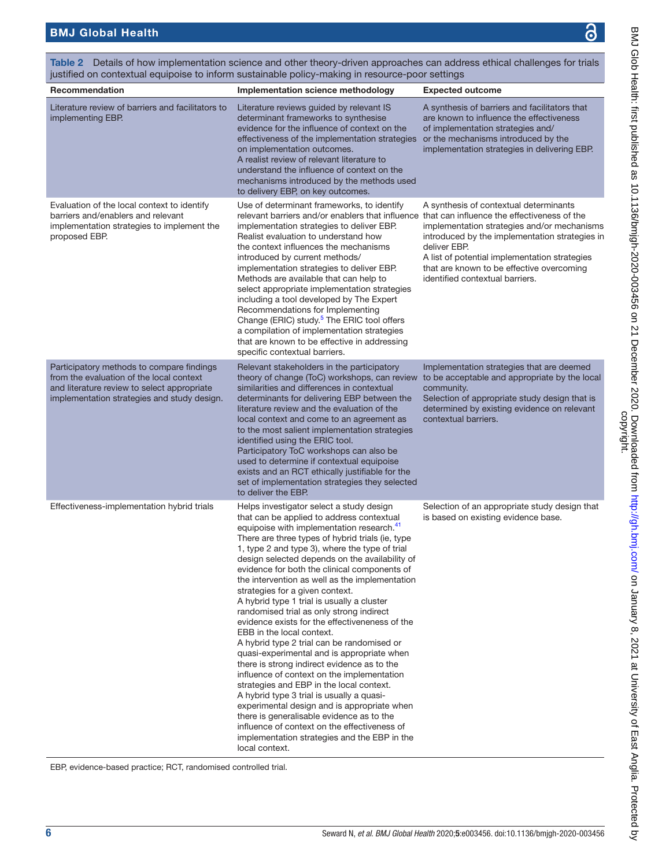BMJ Glob Health: first published as 10.1136/bmjgh-2020-003456 on 21 December 2020. Downloaded from http://gh.bmj.com/ on January 8, 2021 at University of East Anglia. Protected by<br>copyright. BMJ Glob Health: first published as 10.1136/bmjgh-2020-003456 on 21 December 2020. Downloaded from Domnloaded from on January 8, 2021 at University of East Anglia. Protected by

| justified on contextual equipoise to inform sustainable policy-making in resource-poor settings                                                                                     |                                                                                                                                                                                                                                                                                                                                                                                                                                                                                                                                                                                                                                                                                                                                                                                                                                                                                                                                                                                                                                                                                                                      |                                                                                                                                                                                                                                                                                          |  |  |  |
|-------------------------------------------------------------------------------------------------------------------------------------------------------------------------------------|----------------------------------------------------------------------------------------------------------------------------------------------------------------------------------------------------------------------------------------------------------------------------------------------------------------------------------------------------------------------------------------------------------------------------------------------------------------------------------------------------------------------------------------------------------------------------------------------------------------------------------------------------------------------------------------------------------------------------------------------------------------------------------------------------------------------------------------------------------------------------------------------------------------------------------------------------------------------------------------------------------------------------------------------------------------------------------------------------------------------|------------------------------------------------------------------------------------------------------------------------------------------------------------------------------------------------------------------------------------------------------------------------------------------|--|--|--|
| Recommendation                                                                                                                                                                      | Implementation science methodology                                                                                                                                                                                                                                                                                                                                                                                                                                                                                                                                                                                                                                                                                                                                                                                                                                                                                                                                                                                                                                                                                   | <b>Expected outcome</b>                                                                                                                                                                                                                                                                  |  |  |  |
| Literature review of barriers and facilitators to<br>implementing EBP.                                                                                                              | Literature reviews guided by relevant IS<br>determinant frameworks to synthesise<br>evidence for the influence of context on the<br>effectiveness of the implementation strategies<br>on implementation outcomes.<br>A realist review of relevant literature to<br>understand the influence of context on the<br>mechanisms introduced by the methods used<br>to delivery EBP, on key outcomes.                                                                                                                                                                                                                                                                                                                                                                                                                                                                                                                                                                                                                                                                                                                      | A synthesis of barriers and facilitators that<br>are known to influence the effectiveness<br>of implementation strategies and/<br>or the mechanisms introduced by the<br>implementation strategies in delivering EBP.                                                                    |  |  |  |
| Evaluation of the local context to identify<br>barriers and/enablers and relevant<br>implementation strategies to implement the<br>proposed EBP.                                    | Use of determinant frameworks, to identify<br>relevant barriers and/or enablers that influence that can influence the effectiveness of the<br>implementation strategies to deliver EBP.<br>Realist evaluation to understand how<br>the context influences the mechanisms<br>introduced by current methods/<br>implementation strategies to deliver EBP.<br>Methods are available that can help to<br>select appropriate implementation strategies<br>including a tool developed by The Expert<br>Recommendations for Implementing<br>Change (ERIC) study. <sup>5</sup> The ERIC tool offers<br>a compilation of implementation strategies<br>that are known to be effective in addressing<br>specific contextual barriers.                                                                                                                                                                                                                                                                                                                                                                                           | A synthesis of contextual determinants<br>implementation strategies and/or mechanisms<br>introduced by the implementation strategies in<br>deliver EBP.<br>A list of potential implementation strategies<br>that are known to be effective overcoming<br>identified contextual barriers. |  |  |  |
| Participatory methods to compare findings<br>from the evaluation of the local context<br>and literature review to select appropriate<br>implementation strategies and study design. | Relevant stakeholders in the participatory<br>theory of change (ToC) workshops, can review<br>similarities and differences in contextual<br>determinants for delivering EBP between the<br>literature review and the evaluation of the<br>local context and come to an agreement as<br>to the most salient implementation strategies<br>identified using the ERIC tool.<br>Participatory ToC workshops can also be<br>used to determine if contextual equipoise<br>exists and an RCT ethically justifiable for the<br>set of implementation strategies they selected<br>to deliver the EBP.                                                                                                                                                                                                                                                                                                                                                                                                                                                                                                                          | Implementation strategies that are deemed<br>to be acceptable and appropriate by the local<br>community.<br>Selection of appropriate study design that is<br>determined by existing evidence on relevant<br>contextual barriers.                                                         |  |  |  |
| Effectiveness-implementation hybrid trials                                                                                                                                          | Helps investigator select a study design<br>that can be applied to address contextual<br>equipoise with implementation research. <sup>41</sup><br>There are three types of hybrid trials (ie, type<br>1, type 2 and type 3), where the type of trial<br>design selected depends on the availability of<br>evidence for both the clinical components of<br>the intervention as well as the implementation<br>strategies for a given context.<br>A hybrid type 1 trial is usually a cluster<br>randomised trial as only strong indirect<br>evidence exists for the effectiveneness of the<br>EBB in the local context.<br>A hybrid type 2 trial can be randomised or<br>quasi-experimental and is appropriate when<br>there is strong indirect evidence as to the<br>influence of context on the implementation<br>strategies and EBP in the local context.<br>A hybrid type 3 trial is usually a quasi-<br>experimental design and is appropriate when<br>there is generalisable evidence as to the<br>influence of context on the effectiveness of<br>implementation strategies and the EBP in the<br>local context. | Selection of an appropriate study design that<br>is based on existing evidence base.                                                                                                                                                                                                     |  |  |  |

<span id="page-5-0"></span>Table 2 Details of how implementation science and other theory-driven approaches can address ethical challenges for trials

EBP, evidence-based practice; RCT, randomised controlled trial.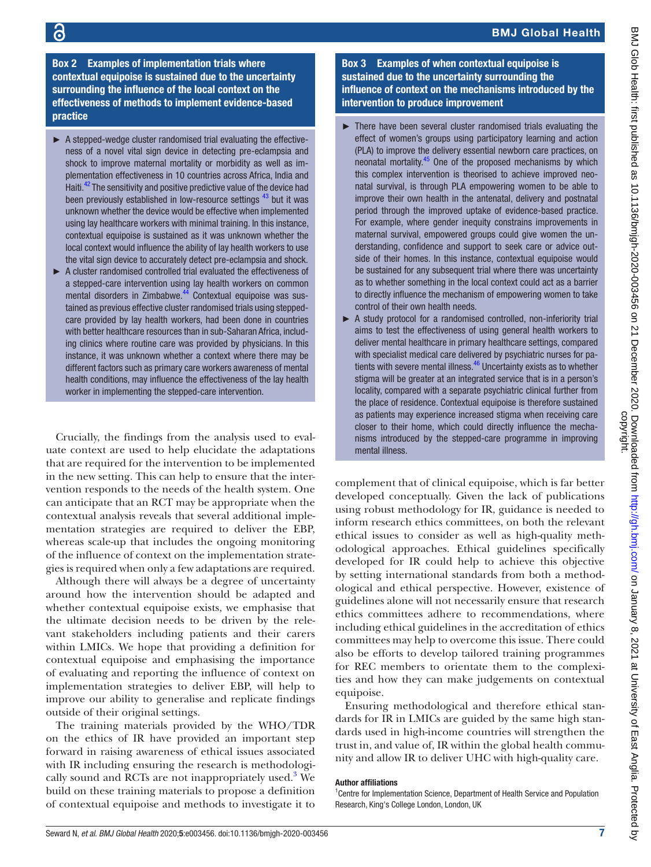### BMJ Global Health

Box 2 Examples of implementation trials where contextual equipoise is sustained due to the uncertainty surrounding the influence of the local context on the effectiveness of methods to implement evidence-based practice

- <span id="page-6-0"></span> $\triangleright$  A stepped-wedge cluster randomised trial evaluating the effectiveness of a novel vital sign device in detecting pre-eclampsia and shock to improve maternal mortality or morbidity as well as implementation effectiveness in 10 countries across Africa, India and Haiti.<sup>42</sup> The sensitivity and positive predictive value of the device had been previously established in low-resource settings <sup>43</sup> but it was unknown whether the device would be effective when implemented using lay healthcare workers with minimal training. In this instance, contextual equipoise is sustained as it was unknown whether the local context would influence the ability of lay health workers to use the vital sign device to accurately detect pre-eclampsia and shock.
- ► A cluster randomised controlled trial evaluated the effectiveness of a stepped-care intervention using lay health workers on common mental disorders in Zimbabwe.<sup>44</sup> Contextual equipoise was sustained as previous effective cluster randomised trials using steppedcare provided by lay health workers, had been done in countries with better healthcare resources than in sub-Saharan Africa, including clinics where routine care was provided by physicians. In this instance, it was unknown whether a context where there may be different factors such as primary care workers awareness of mental health conditions, may influence the effectiveness of the lay health worker in implementing the stepped-care intervention.

Crucially, the findings from the analysis used to evaluate context are used to help elucidate the adaptations that are required for the intervention to be implemented in the new setting. This can help to ensure that the intervention responds to the needs of the health system. One can anticipate that an RCT may be appropriate when the contextual analysis reveals that several additional implementation strategies are required to deliver the EBP, whereas scale-up that includes the ongoing monitoring of the influence of context on the implementation strategies is required when only a few adaptations are required.

Although there will always be a degree of uncertainty around how the intervention should be adapted and whether contextual equipoise exists, we emphasise that the ultimate decision needs to be driven by the relevant stakeholders including patients and their carers within LMICs. We hope that providing a definition for contextual equipoise and emphasising the importance of evaluating and reporting the influence of context on implementation strategies to deliver EBP, will help to improve our ability to generalise and replicate findings outside of their original settings.

The training materials provided by the WHO/TDR on the ethics of IR have provided an important step forward in raising awareness of ethical issues associated with IR including ensuring the research is methodologically sound and RCTs are not inappropriately used.<sup>3</sup> We build on these training materials to propose a definition of contextual equipoise and methods to investigate it to

Box 3 Examples of when contextual equipoise is sustained due to the uncertainty surrounding the influence of context on the mechanisms introduced by the intervention to produce improvement

- <span id="page-6-1"></span>There have been several cluster randomised trials evaluating the effect of women's groups using participatory learning and action (PLA) to improve the delivery essential newborn care practices, on neonatal mortality.<sup>[45](#page-8-14)</sup> One of the proposed mechanisms by which this complex intervention is theorised to achieve improved neonatal survival, is through PLA empowering women to be able to improve their own health in the antenatal, delivery and postnatal period through the improved uptake of evidence-based practice. For example, where gender inequity constrains improvements in maternal survival, empowered groups could give women the understanding, confidence and support to seek care or advice outside of their homes. In this instance, contextual equipoise would be sustained for any subsequent trial where there was uncertainty as to whether something in the local context could act as a barrier to directly influence the mechanism of empowering women to take control of their own health needs.
- ► A study protocol for a randomised controlled, non-inferiority trial aims to test the effectiveness of using general health workers to deliver mental healthcare in primary healthcare settings, compared with specialist medical care delivered by psychiatric nurses for patients with severe mental illness.<sup>46</sup> Uncertainty exists as to whether stigma will be greater at an integrated service that is in a person's locality, compared with a separate psychiatric clinical further from the place of residence. Contextual equipoise is therefore sustained as patients may experience increased stigma when receiving care closer to their home, which could directly influence the mechanisms introduced by the stepped-care programme in improving mental illness.

complement that of clinical equipoise, which is far better developed conceptually. Given the lack of publications using robust methodology for IR, guidance is needed to inform research ethics committees, on both the relevant ethical issues to consider as well as high-quality methodological approaches. Ethical guidelines specifically developed for IR could help to achieve this objective by setting international standards from both a methodological and ethical perspective. However, existence of guidelines alone will not necessarily ensure that research ethics committees adhere to recommendations, where including ethical guidelines in the accreditation of ethics committees may help to overcome this issue. There could also be efforts to develop tailored training programmes for REC members to orientate them to the complexities and how they can make judgements on contextual equipoise.

Ensuring methodological and therefore ethical standards for IR in LMICs are guided by the same high standards used in high-income countries will strengthen the trust in, and value of, IR within the global health community and allow IR to deliver UHC with high-quality care.

#### Author affiliations

<sup>1</sup> Centre for Implementation Science, Department of Health Service and Population Research, King's College London, London, UK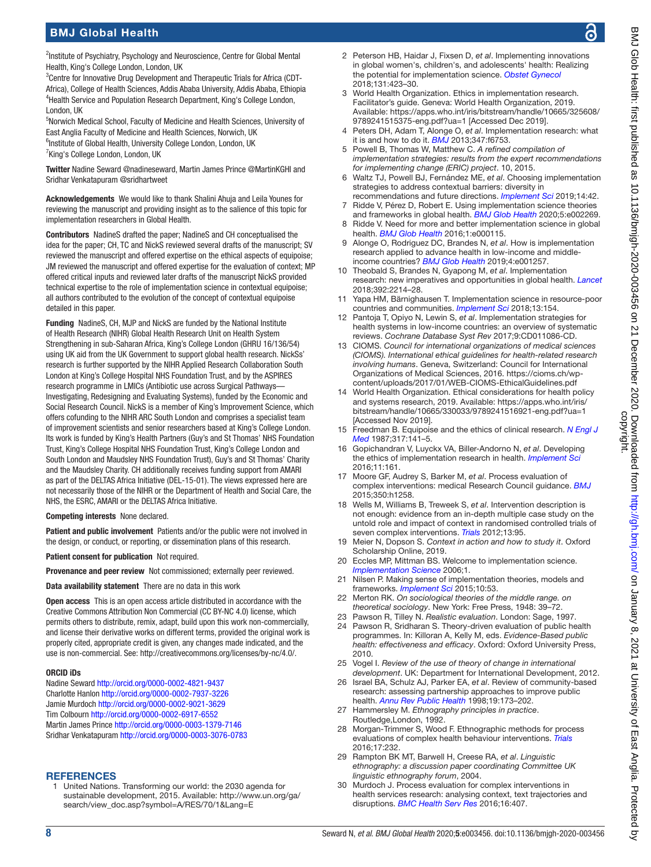BMJ Glob Health: first published as 10.1136/bmjgh-2020-003456 on 21 December 2020. Downloaded from Domnloaded from on January 8, 2021 at University of East Anglia. Protected by

<sup>2</sup>Institute of Psychiatry, Psychology and Neuroscience, Centre for Global Mental Health, King's College London, London, UK

<sup>3</sup>Centre for Innovative Drug Development and Therapeutic Trials for Africa (CDT-Africa), College of Health Sciences, Addis Ababa University, Addis Ababa, Ethiopia <sup>4</sup> Health Service and Population Research Department, King's College London, London, UK

5 Norwich Medical School, Faculty of Medicine and Health Sciences, University of East Anglia Faculty of Medicine and Health Sciences, Norwich, UK <sup>6</sup>Institute of Global Health, University College London, London, UK <sup>7</sup>King's College London, London, UK

Twitter Nadine Seward [@nadineseward,](https://twitter.com/nadineseward) Martin James Prince [@MartinKGHI](https://twitter.com/MartinKGHI) and Sridhar Venkatapuram [@sridhartweet](https://twitter.com/sridhartweet)

Acknowledgements We would like to thank Shalini Ahuja and Leila Younes for reviewing the manuscript and providing insight as to the salience of this topic for implementation researchers in Global Health.

Contributors NadineS drafted the paper; NadineS and CH conceptualised the idea for the paper; CH, TC and NickS reviewed several drafts of the manuscript; SV reviewed the manuscript and offered expertise on the ethical aspects of equipoise; JM reviewed the manuscript and offered expertise for the evaluation of context; MP offered critical inputs and reviewed later drafts of the manuscript NickS provided technical expertise to the role of implementation science in contextual equipoise; all authors contributed to the evolution of the concept of contextual equipoise detailed in this paper.

Funding NadineS, CH, MJP and NickS are funded by the National Institute of Health Research (NIHR) Global Health Research Unit on Health System Strengthening in sub-Saharan Africa, King's College London (GHRU 16/136/54) using UK aid from the UK Government to support global health research. NickSs' research is further supported by the NIHR Applied Research Collaboration South London at King's College Hospital NHS Foundation Trust, and by the ASPIRES research programme in LMICs (Antibiotic use across Surgical Pathways— Investigating, Redesigning and Evaluating Systems), funded by the Economic and Social Research Council. NickS is a member of King's Improvement Science, which offers cofunding to the NIHR ARC South London and comprises a specialist team of improvement scientists and senior researchers based at King's College London. Its work is funded by King's Health Partners (Guy's and St Thomas' NHS Foundation Trust, King's College Hospital NHS Foundation Trust, King's College London and South London and Maudsley NHS Foundation Trust), Guy's and St Thomas' Charity and the Maudsley Charity. CH additionally receives funding support from AMARI as part of the DELTAS Africa Initiative (DEL-15-01). The views expressed here are not necessarily those of the NIHR or the Department of Health and Social Care, the NHS, the ESRC, AMARI or the DELTAS Africa Initiative.

Competing interests None declared.

Patient and public involvement Patients and/or the public were not involved in the design, or conduct, or reporting, or dissemination plans of this research.

Patient consent for publication Not required.

Provenance and peer review Not commissioned; externally peer reviewed.

Data availability statement There are no data in this work

Open access This is an open access article distributed in accordance with the Creative Commons Attribution Non Commercial (CC BY-NC 4.0) license, which permits others to distribute, remix, adapt, build upon this work non-commercially, and license their derivative works on different terms, provided the original work is properly cited, appropriate credit is given, any changes made indicated, and the use is non-commercial. See: [http://creativecommons.org/licenses/by-nc/4.0/.](http://creativecommons.org/licenses/by-nc/4.0/)

#### ORCID iDs

Nadine Seward <http://orcid.org/0000-0002-4821-9437> Charlotte Hanlon<http://orcid.org/0000-0002-7937-3226> Jamie Murdoch <http://orcid.org/0000-0002-9021-3629> Tim Colbourn<http://orcid.org/0000-0002-6917-6552> Martin James Prince <http://orcid.org/0000-0003-1379-7146> Sridhar Venkatapuram<http://orcid.org/0000-0003-3076-0783>

#### **REFERENCES**

<span id="page-7-0"></span>1 United Nations. Transforming our world: the 2030 agenda for sustainable development, 2015. Available: [http://www.un.org/ga/](http://www.un.org/ga/search/view_doc.asp?symbol=A/RES/70/1&Lang=E) [search/view\\_doc.asp?symbol=A/RES/70/1&Lang=E](http://www.un.org/ga/search/view_doc.asp?symbol=A/RES/70/1&Lang=E)

- <span id="page-7-1"></span>2 Peterson HB, Haidar J, Fixsen D, *et al*. Implementing innovations in global women's, children's, and adolescents' health: Realizing the potential for implementation science. *[Obstet Gynecol](http://dx.doi.org/10.1097/AOG.0000000000002494)* 2018;131:423–30.
- <span id="page-7-2"></span>3 World Health Organization. Ethics in implementation research. Facilitator's guide. Geneva: World Health Organization, 2019. Available: [https://apps.who.int/iris/bitstream/handle/10665/325608/](https://apps.who.int/iris/bitstream/handle/10665/325608/9789241515375-eng.pdf?ua=1) [9789241515375-eng.pdf?ua=1](https://apps.who.int/iris/bitstream/handle/10665/325608/9789241515375-eng.pdf?ua=1) [Accessed Dec 2019].
- <span id="page-7-3"></span>4 Peters DH, Adam T, Alonge O, *et al*. Implementation research: what it is and how to do it. *[BMJ](http://dx.doi.org/10.1136/bmj.f6753)* 2013;347:f6753.
- <span id="page-7-4"></span>5 Powell B, Thomas W, Matthew C. *A refined compilation of implementation strategies: results from the expert recommendations for implementing change (ERIC) project*. 10, 2015.
- 6 Waltz TJ, Powell BJ, Fernández ME, *et al*. Choosing implementation strategies to address contextual barriers: diversity in recommendations and future directions. *[Implement Sci](http://dx.doi.org/10.1186/s13012-019-0892-4)* 2019;14:42.
- <span id="page-7-5"></span>7 Ridde V, Pérez D, Robert E. Using implementation science theories and frameworks in global health. *[BMJ Glob Health](http://dx.doi.org/10.1136/bmjgh-2019-002269)* 2020;5:e002269.
- 8 Ridde V. Need for more and better implementation science in global health. *[BMJ Glob Health](http://dx.doi.org/10.1136/bmjgh-2016-000115)* 2016;1:e000115.
- <span id="page-7-6"></span>9 Alonge O, Rodriguez DC, Brandes N, *et al*. How is implementation research applied to advance health in low-income and middleincome countries? *[BMJ Glob Health](http://dx.doi.org/10.1136/bmjgh-2018-001257)* 2019;4:e001257.
- 10 Theobald S, Brandes N, Gyapong M, *et al*. Implementation research: new imperatives and opportunities in global health. *[Lancet](http://dx.doi.org/10.1016/S0140-6736(18)32205-0)* 2018;392:2214–28.
- 11 Yapa HM, Bärnighausen T. Implementation science in resource-poor countries and communities. *[Implement Sci](http://dx.doi.org/10.1186/s13012-018-0847-1)* 2018;13:154.
- <span id="page-7-7"></span>12 Pantoja T, Opiyo N, Lewin S, *et al*. Implementation strategies for health systems in low-income countries: an overview of systematic reviews. *Cochrane Database Syst Rev* 2017;9:CD011086-CD.
- <span id="page-7-8"></span>13 CIOMS. *Council for international organizations of medical sciences (CIOMS). International ethical guidelines for health-related research involving humans*. Geneva, Switzerland: Council for International Organizations of Medical Sciences, 2016. [https://cioms.ch/wp](https://cioms.ch/wp-content/uploads/2017/01/WEB-CIOMS-EthicalGuidelines.pdf)[content/uploads/2017/01/WEB-CIOMS-EthicalGuidelines.pdf](https://cioms.ch/wp-content/uploads/2017/01/WEB-CIOMS-EthicalGuidelines.pdf)
- <span id="page-7-9"></span>14 World Health Organization. Ethical considerations for health policy and systems research, 2019. Available: [https://apps.who.int/iris/](https://apps.who.int/iris/bitstream/handle/10665/330033/9789241516921-eng.pdf?ua=1) [bitstream/handle/10665/330033/9789241516921-eng.pdf?ua=1](https://apps.who.int/iris/bitstream/handle/10665/330033/9789241516921-eng.pdf?ua=1)  [Accessed Nov 2019].
- <span id="page-7-10"></span>15 Freedman B. Equipoise and the ethics of clinical research. *[N Engl J](http://dx.doi.org/10.1056/NEJM198707163170304)  [Med](http://dx.doi.org/10.1056/NEJM198707163170304)* 1987;317:141–5.
- <span id="page-7-11"></span>16 Gopichandran V, Luyckx VA, Biller-Andorno N, *et al*. Developing the ethics of implementation research in health. *[Implement Sci](http://dx.doi.org/10.1186/s13012-016-0527-y)* 2016;11:161.
- <span id="page-7-12"></span>17 Moore GF, Audrey S, Barker M, *et al*. Process evaluation of complex interventions: medical Research Council guidance. *[BMJ](http://dx.doi.org/10.1136/bmj.h1258)* 2015;350:h1258.
- <span id="page-7-13"></span>18 Wells M, Williams B, Treweek S, *et al*. Intervention description is not enough: evidence from an in-depth multiple case study on the untold role and impact of context in randomised controlled trials of seven complex interventions. *[Trials](http://dx.doi.org/10.1186/1745-6215-13-95)* 2012;13:95.
- <span id="page-7-14"></span>19 Meier N, Dopson S. *Context in action and how to study it*. Oxford Scholarship Online, 2019.
- <span id="page-7-17"></span>20 Eccles MP, Mittman BS. Welcome to implementation science. *[Implementation Science](http://dx.doi.org/10.1186/1748-5908-1-1)* 2006;1.
- <span id="page-7-15"></span>21 Nilsen P. Making sense of implementation theories, models and frameworks. *[Implement Sci](http://dx.doi.org/10.1186/s13012-015-0242-0)* 2015;10:53.
- <span id="page-7-18"></span>22 Merton RK. *On sociological theories of the middle range. on theoretical sociology*. New York: Free Press, 1948: 39–72.
- <span id="page-7-16"></span>23 Pawson R, Tilley N. *Realistic evaluation*. London: Sage, 1997.
- 24 Pawson R, Sridharan S. Theory-driven evaluation of public health programmes. In: Killoran A, Kelly M, eds. *Evidence-Based public health: effectiveness and efficacy*. Oxford: Oxford University Press, 2010.
- <span id="page-7-19"></span>25 Vogel I. *Review of the use of theory of change in international development*. UK: Department for International Development, 2012.
- <span id="page-7-20"></span>26 Israel BA, Schulz AJ, Parker EA, *et al*. Review of community-based research: assessing partnership approaches to improve public health. *[Annu Rev Public Health](http://dx.doi.org/10.1146/annurev.publhealth.19.1.173)* 1998;19:173–202.
- <span id="page-7-21"></span>27 Hammersley M. *Ethnography principles in practice*. Routledge,London, 1992.
- 28 Morgan-Trimmer S, Wood F. Ethnographic methods for process evaluations of complex health behaviour interventions. *[Trials](http://dx.doi.org/10.1186/s13063-016-1340-2)* 2016;17:232.
- <span id="page-7-22"></span>29 Rampton BK MT, Barwell H, Creese RA, *et al*. *Linguistic ethnography: a discussion paper coordinating Committee UK linguistic ethnography forum*, 2004.
- 30 Murdoch J. Process evaluation for complex interventions in health services research: analysing context, text trajectories and disruptions. *[BMC Health Serv Res](http://dx.doi.org/10.1186/s12913-016-1651-8)* 2016;16:407.